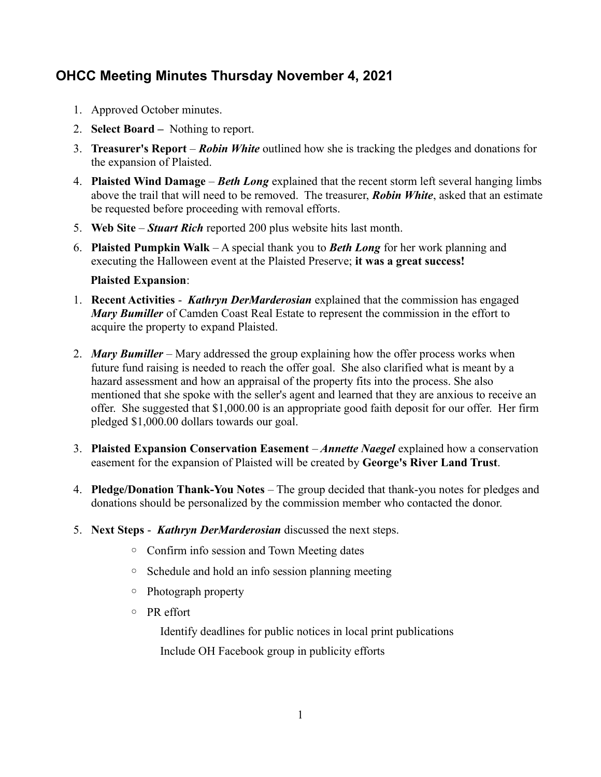## **OHCC Meeting Minutes Thursday November 4, 2021**

- 1. Approved October minutes.
- 2. **Select Board** Nothing to report.
- 3. **Treasurer's Report** *Robin White* outlined how she is tracking the pledges and donations for the expansion of Plaisted.
- 4. **Plaisted Wind Damage** *Beth Long* explained that the recent storm left several hanging limbs above the trail that will need to be removed. The treasurer, *Robin White*, asked that an estimate be requested before proceeding with removal efforts.
- 5. **Web Site** *Stuart Rich* reported 200 plus website hits last month.
- 6. **Plaisted Pumpkin Walk** A special thank you to *Beth Long* for her work planning and executing the Halloween event at the Plaisted Preserve; **it was a great success!**

## **Plaisted Expansion**:

- 1. **Recent Activities** *Kathryn DerMarderosian* explained that the commission has engaged *Mary Bumiller* of Camden Coast Real Estate to represent the commission in the effort to acquire the property to expand Plaisted.
- 2. *Mary Bumiller* Mary addressed the group explaining how the offer process works when future fund raising is needed to reach the offer goal. She also clarified what is meant by a hazard assessment and how an appraisal of the property fits into the process. She also mentioned that she spoke with the seller's agent and learned that they are anxious to receive an offer. She suggested that \$1,000.00 is an appropriate good faith deposit for our offer. Her firm pledged \$1,000.00 dollars towards our goal.
- 3. **Plaisted Expansion Conservation Easement** *Annette Naegel* explained how a conservation easement for the expansion of Plaisted will be created by **George's River Land Trust**.
- 4. **Pledge/Donation Thank-You Notes** The group decided that thank-you notes for pledges and donations should be personalized by the commission member who contacted the donor.
- 5. **Next Steps** *Kathryn DerMarderosian* discussed the next steps.
	- Confirm info session and Town Meeting dates
	- Schedule and hold an info session planning meeting
	- Photograph property
	- PR effort

Identify deadlines for public notices in local print publications Include OH Facebook group in publicity efforts